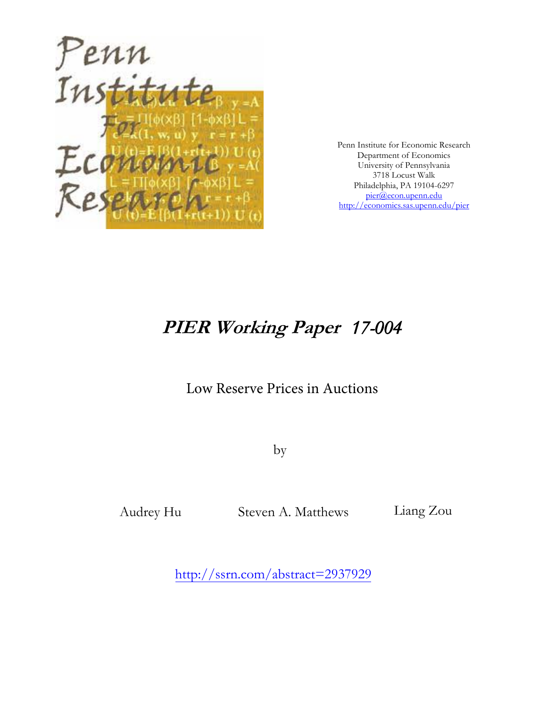

Penn Institute for Economic Research Department of Economics University of Pennsylvania 3718 Locust Walk Philadelphia, PA 19104-6297 [pier@econ.upenn.edu](mailto:pier@econ.upenn.edu) <http://economics.sas.upenn.edu/pier>

# **PIER Working Paper** *17-004*

# Low Reserve Prices in Auctions

by

Steven A. Matthews Audrey Hu Liang Zou

[http://ssrn.com/abstract=](http://ssrn.com/abstract_id=)2937929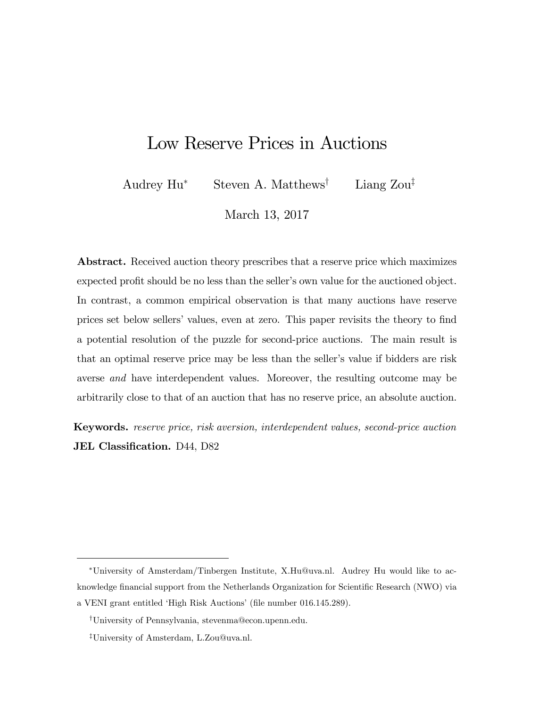# Low Reserve Prices in Auctions

Audrey  $\text{Hu}^*$  Steven A. Matthews<sup>†</sup> Liang Zou<sup>‡</sup>

March 13, 2017

Abstract. Received auction theory prescribes that a reserve price which maximizes expected profit should be no less than the seller's own value for the auctioned object. In contrast, a common empirical observation is that many auctions have reserve prices set below sellers' values, even at zero. This paper revisits the theory to find a potential resolution of the puzzle for second-price auctions. The main result is that an optimal reserve price may be less than the seller's value if bidders are risk averse and have interdependent values. Moreover, the resulting outcome may be arbitrarily close to that of an auction that has no reserve price, an absolute auction.

Keywords. reserve price, risk aversion, interdependent values, second-price auction JEL Classification. D44, D82

University of Amsterdam/Tinbergen Institute, X.Hu@uva.nl. Audrey Hu would like to acknowledge financial support from the Netherlands Organization for Scientific Research (NWO) via a VENI grant entitled 'High Risk Auctions' (file number 016.145.289).

<sup>&</sup>lt;sup>†</sup>University of Pennsylvania, stevenma@econ.upenn.edu.

<sup>&</sup>lt;sup>‡</sup>University of Amsterdam, L.Zou@uva.nl.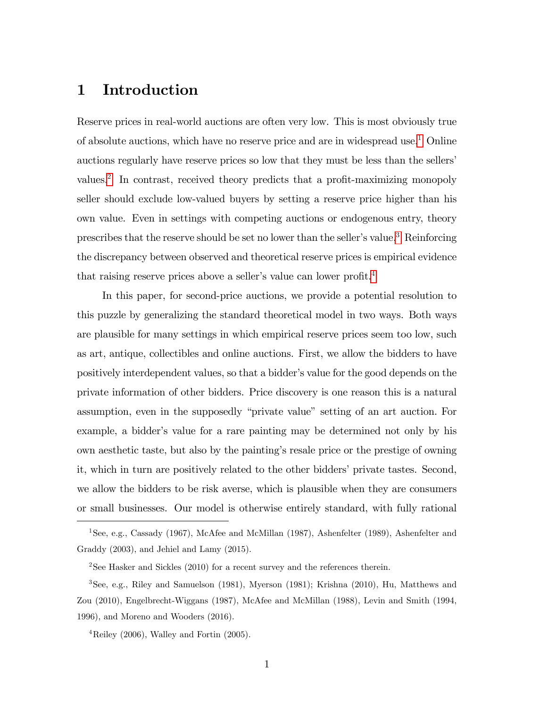## 1 Introduction

Reserve prices in real-world auctions are often very low. This is most obviously true of absolute auctions, which have no reserve price and are in widespread use.[1](#page-2-0) Online auctions regularly have reserve prices so low that they must be less than the sellers' values.<sup>[2](#page-2-1)</sup> In contrast, received theory predicts that a profit-maximizing monopoly seller should exclude low-valued buyers by setting a reserve price higher than his own value. Even in settings with competing auctions or endogenous entry, theory prescribes that the reserve should be set no lower than the seller's value.<sup>[3](#page-2-2)</sup> Reinforcing the discrepancy between observed and theoretical reserve prices is empirical evidence that raising reserve prices above a seller's value can lower profit.<sup>[4](#page-2-3)</sup>

In this paper, for second-price auctions, we provide a potential resolution to this puzzle by generalizing the standard theoretical model in two ways. Both ways are plausible for many settings in which empirical reserve prices seem too low, such as art, antique, collectibles and online auctions. First, we allow the bidders to have positively interdependent values, so that a bidder's value for the good depends on the private information of other bidders. Price discovery is one reason this is a natural assumption, even in the supposedly "private value" setting of an art auction. For example, a bidder's value for a rare painting may be determined not only by his own aesthetic taste, but also by the paintingís resale price or the prestige of owning it, which in turn are positively related to the other bidders' private tastes. Second, we allow the bidders to be risk averse, which is plausible when they are consumers or small businesses. Our model is otherwise entirely standard, with fully rational

<span id="page-2-0"></span><sup>1</sup>See, e.g., Cassady (1967), McAfee and McMillan (1987), Ashenfelter (1989), Ashenfelter and Graddy (2003), and Jehiel and Lamy (2015).

<span id="page-2-2"></span><span id="page-2-1"></span><sup>&</sup>lt;sup>2</sup>See Hasker and Sickles  $(2010)$  for a recent survey and the references therein.

<sup>3</sup>See, e.g., Riley and Samuelson (1981), Myerson (1981); Krishna (2010), Hu, Matthews and Zou (2010), Engelbrecht-Wiggans (1987), McAfee and McMillan (1988), Levin and Smith (1994, 1996), and Moreno and Wooders (2016).

<span id="page-2-3"></span> ${}^{4}$ Reiley (2006), Walley and Fortin (2005).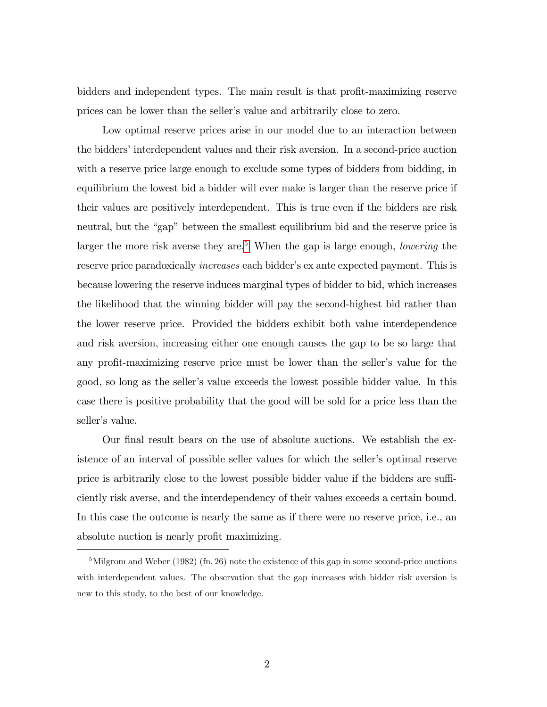bidders and independent types. The main result is that profit-maximizing reserve prices can be lower than the seller's value and arbitrarily close to zero.

Low optimal reserve prices arise in our model due to an interaction between the bidders' interdependent values and their risk aversion. In a second-price auction with a reserve price large enough to exclude some types of bidders from bidding, in equilibrium the lowest bid a bidder will ever make is larger than the reserve price if their values are positively interdependent. This is true even if the bidders are risk neutral, but the "gap" between the smallest equilibrium bid and the reserve price is larger the more risk averse they are.<sup>[5](#page-3-0)</sup> When the gap is large enough, *lowering* the reserve price paradoxically *increases* each bidder's ex ante expected payment. This is because lowering the reserve induces marginal types of bidder to bid, which increases the likelihood that the winning bidder will pay the second-highest bid rather than the lower reserve price. Provided the bidders exhibit both value interdependence and risk aversion, increasing either one enough causes the gap to be so large that any profit-maximizing reserve price must be lower than the seller's value for the good, so long as the seller's value exceeds the lowest possible bidder value. In this case there is positive probability that the good will be sold for a price less than the seller's value.

Our final result bears on the use of absolute auctions. We establish the existence of an interval of possible seller values for which the seller's optimal reserve price is arbitrarily close to the lowest possible bidder value if the bidders are sufficiently risk averse, and the interdependency of their values exceeds a certain bound. In this case the outcome is nearly the same as if there were no reserve price, i.e., an absolute auction is nearly profit maximizing.

<span id="page-3-0"></span><sup>&</sup>lt;sup>5</sup>Milgrom and Weber (1982) (fn. 26) note the existence of this gap in some second-price auctions with interdependent values. The observation that the gap increases with bidder risk aversion is new to this study, to the best of our knowledge.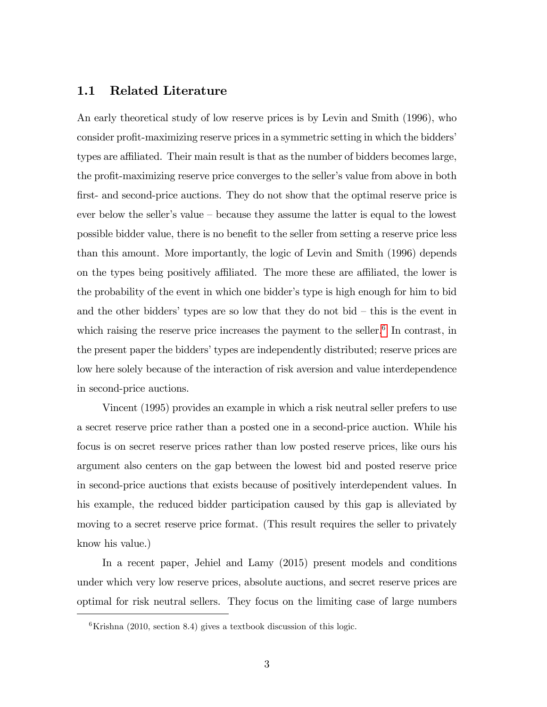#### 1.1 Related Literature

An early theoretical study of low reserve prices is by Levin and Smith (1996), who consider profit-maximizing reserve prices in a symmetric setting in which the bidders' types are affiliated. Their main result is that as the number of bidders becomes large, the profit-maximizing reserve price converges to the seller's value from above in both first- and second-price auctions. They do not show that the optimal reserve price is ever below the seller's value  $-$  because they assume the latter is equal to the lowest possible bidder value, there is no benefit to the seller from setting a reserve price less than this amount. More importantly, the logic of Levin and Smith (1996) depends on the types being positively affiliated. The more these are affiliated, the lower is the probability of the event in which one bidder's type is high enough for him to bid and the other bidders' types are so low that they do not bid  $-$  this is the event in which raising the reserve price increases the payment to the seller. $6$  In contrast, in the present paper the bidders' types are independently distributed; reserve prices are low here solely because of the interaction of risk aversion and value interdependence in second-price auctions.

Vincent (1995) provides an example in which a risk neutral seller prefers to use a secret reserve price rather than a posted one in a second-price auction. While his focus is on secret reserve prices rather than low posted reserve prices, like ours his argument also centers on the gap between the lowest bid and posted reserve price in second-price auctions that exists because of positively interdependent values. In his example, the reduced bidder participation caused by this gap is alleviated by moving to a secret reserve price format. (This result requires the seller to privately know his value.)

In a recent paper, Jehiel and Lamy (2015) present models and conditions under which very low reserve prices, absolute auctions, and secret reserve prices are optimal for risk neutral sellers. They focus on the limiting case of large numbers

<span id="page-4-0"></span> ${}^{6}$ Krishna (2010, section 8.4) gives a textbook discussion of this logic.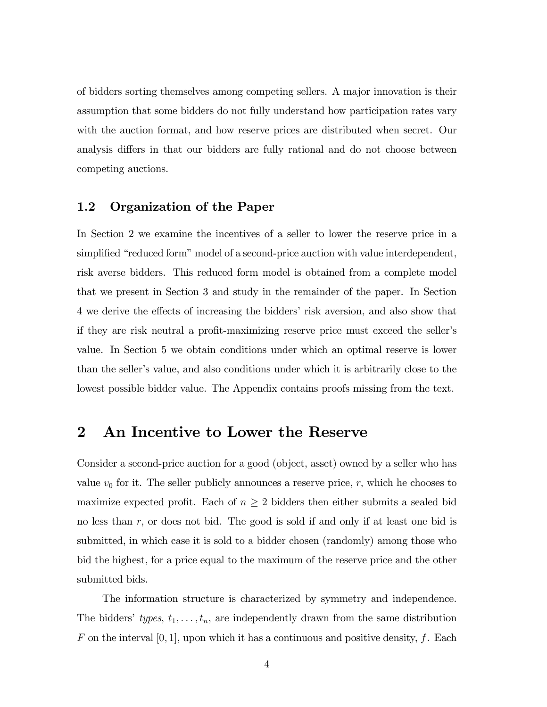of bidders sorting themselves among competing sellers. A major innovation is their assumption that some bidders do not fully understand how participation rates vary with the auction format, and how reserve prices are distributed when secret. Our analysis differs in that our bidders are fully rational and do not choose between competing auctions.

#### 1.2 Organization of the Paper

In Section 2 we examine the incentives of a seller to lower the reserve price in a simplified "reduced form" model of a second-price auction with value interdependent, risk averse bidders. This reduced form model is obtained from a complete model that we present in Section 3 and study in the remainder of the paper. In Section 4 we derive the effects of increasing the bidders' risk aversion, and also show that if they are risk neutral a profit-maximizing reserve price must exceed the seller's value. In Section 5 we obtain conditions under which an optimal reserve is lower than the seller's value, and also conditions under which it is arbitrarily close to the lowest possible bidder value. The Appendix contains proofs missing from the text.

#### 2 An Incentive to Lower the Reserve

Consider a second-price auction for a good (object, asset) owned by a seller who has value  $v_0$  for it. The seller publicly announces a reserve price, r, which he chooses to maximize expected profit. Each of  $n \geq 2$  bidders then either submits a sealed bid no less than r; or does not bid. The good is sold if and only if at least one bid is submitted, in which case it is sold to a bidder chosen (randomly) among those who bid the highest, for a price equal to the maximum of the reserve price and the other submitted bids.

The information structure is characterized by symmetry and independence. The bidders' types,  $t_1, \ldots, t_n$ , are independently drawn from the same distribution F on the interval  $[0, 1]$ , upon which it has a continuous and positive density, f. Each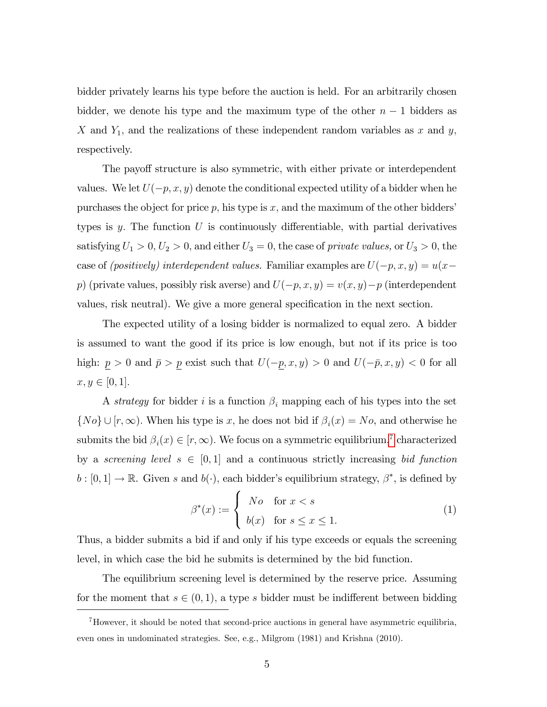bidder privately learns his type before the auction is held. For an arbitrarily chosen bidder, we denote his type and the maximum type of the other  $n-1$  bidders as X and  $Y_1$ , and the realizations of these independent random variables as x and y, respectively.

The payoff structure is also symmetric, with either private or interdependent values. We let  $U(-p, x, y)$  denote the conditional expected utility of a bidder when he purchases the object for price  $p$ , his type is x, and the maximum of the other bidders' types is y. The function U is continuously differentiable, with partial derivatives satisfying  $U_1 > 0, U_2 > 0$ , and either  $U_3 = 0$ , the case of private values, or  $U_3 > 0$ , the case of (positively) interdependent values. Familiar examples are  $U(-p, x, y) = u(x - y)$ p) (private values, possibly risk averse) and  $U(-p, x, y) = v(x, y)-p$  (interdependent values, risk neutral). We give a more general specification in the next section.

The expected utility of a losing bidder is normalized to equal zero. A bidder is assumed to want the good if its price is low enough, but not if its price is too high:  $\underline{p} > 0$  and  $\overline{p} > \underline{p}$  exist such that  $U(-\underline{p}, x, y) > 0$  and  $U(-\overline{p}, x, y) < 0$  for all  $x, y \in [0, 1].$ 

A strategy for bidder i is a function  $\beta_i$  mapping each of his types into the set  $\{No\} \cup [r, \infty)$ . When his type is x, he does not bid if  $\beta_i(x) = No$ , and otherwise he submits the bid  $\beta_i(x) \in [r, \infty)$ . We focus on a symmetric equilibrium,<sup>[7](#page-6-0)</sup> characterized by a screening level  $s \in [0, 1]$  and a continuous strictly increasing bid function  $b : [0,1] \to \mathbb{R}$ . Given s and  $b(\cdot)$ , each bidder's equilibrium strategy,  $\beta^*$ , is defined by

<span id="page-6-1"></span>
$$
\beta^*(x) := \begin{cases} No & \text{for } x < s \\ b(x) & \text{for } s \le x \le 1. \end{cases}
$$
 (1)

Thus, a bidder submits a bid if and only if his type exceeds or equals the screening level, in which case the bid he submits is determined by the bid function.

The equilibrium screening level is determined by the reserve price. Assuming for the moment that  $s \in (0, 1)$ , a type s bidder must be indifferent between bidding

<span id="page-6-0"></span><sup>&</sup>lt;sup>7</sup>However, it should be noted that second-price auctions in general have asymmetric equilibria, even ones in undominated strategies. See, e.g., Milgrom (1981) and Krishna (2010).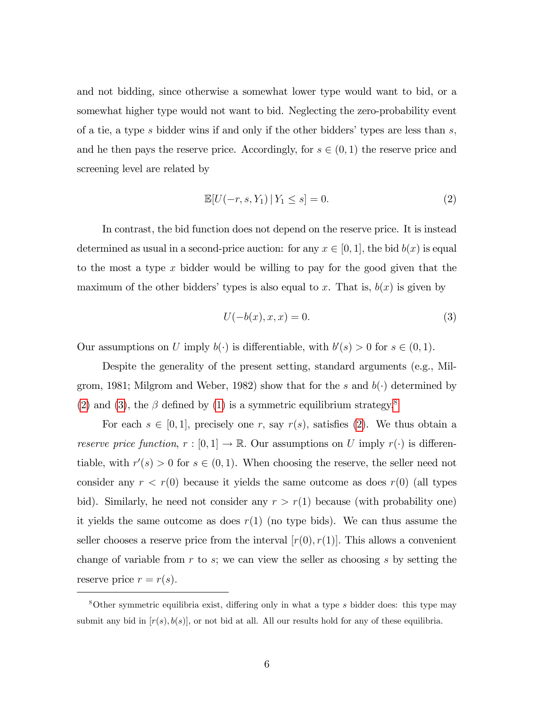and not bidding, since otherwise a somewhat lower type would want to bid, or a somewhat higher type would not want to bid. Neglecting the zero-probability event of a tie, a type s bidder wins if and only if the other bidders' types are less than  $s$ , and he then pays the reserve price. Accordingly, for  $s \in (0, 1)$  the reserve price and screening level are related by

<span id="page-7-0"></span>
$$
\mathbb{E}[U(-r, s, Y_1) | Y_1 \le s] = 0.
$$
 (2)

In contrast, the bid function does not depend on the reserve price. It is instead determined as usual in a second-price auction: for any  $x \in [0, 1]$ , the bid  $b(x)$  is equal to the most a type  $x$  bidder would be willing to pay for the good given that the maximum of the other bidders' types is also equal to x. That is,  $b(x)$  is given by

<span id="page-7-1"></span>
$$
U(-b(x), x, x) = 0.
$$
\n
$$
(3)
$$

Our assumptions on U imply  $b(\cdot)$  is differentiable, with  $b'(s) > 0$  for  $s \in (0,1)$ .

Despite the generality of the present setting, standard arguments (e.g., Milgrom, 1981; Milgrom and Weber, 1982) show that for the s and  $b(\cdot)$  determined by [\(2\)](#page-7-0) and [\(3\)](#page-7-1), the  $\beta$  defined by [\(1\)](#page-6-1) is a symmetric equilibrium strategy.<sup>[8](#page-7-2)</sup>

For each  $s \in [0, 1]$ , precisely one r, say  $r(s)$ , satisfies [\(2\)](#page-7-0). We thus obtain a reserve price function,  $r : [0,1] \to \mathbb{R}$ . Our assumptions on U imply  $r(\cdot)$  is differentiable, with  $r'(s) > 0$  for  $s \in (0, 1)$ . When choosing the reserve, the seller need not consider any  $r < r(0)$  because it yields the same outcome as does  $r(0)$  (all types bid). Similarly, he need not consider any  $r > r(1)$  because (with probability one) it yields the same outcome as does  $r(1)$  (no type bids). We can thus assume the seller chooses a reserve price from the interval  $[r(0), r(1)]$ . This allows a convenient change of variable from  $r$  to  $s$ ; we can view the seller as choosing  $s$  by setting the reserve price  $r = r(s)$ .

<span id="page-7-2"></span><sup>&</sup>lt;sup>8</sup>Other symmetric equilibria exist, differing only in what a type s bidder does: this type may submit any bid in  $[r(s), b(s)]$ , or not bid at all. All our results hold for any of these equilibria.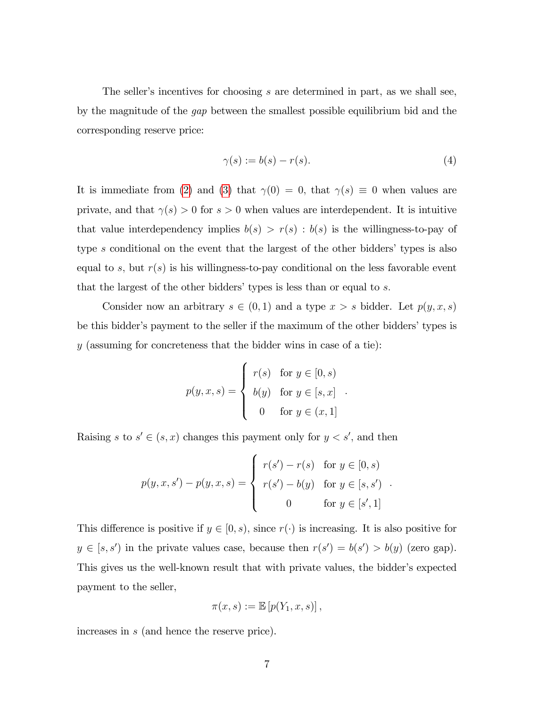The seller's incentives for choosing  $s$  are determined in part, as we shall see, by the magnitude of the gap between the smallest possible equilibrium bid and the corresponding reserve price:

<span id="page-8-0"></span>
$$
\gamma(s) := b(s) - r(s). \tag{4}
$$

It is immediate from [\(2\)](#page-7-0) and [\(3\)](#page-7-1) that  $\gamma(0) = 0$ , that  $\gamma(s) \equiv 0$  when values are private, and that  $\gamma(s) > 0$  for  $s > 0$  when values are interdependent. It is intuitive that value interdependency implies  $b(s) > r(s)$ :  $b(s)$  is the willingness-to-pay of type  $s$  conditional on the event that the largest of the other bidders' types is also equal to s, but  $r(s)$  is his willingness-to-pay conditional on the less favorable event that the largest of the other bidders' types is less than or equal to  $s$ .

Consider now an arbitrary  $s \in (0, 1)$  and a type  $x > s$  bidder. Let  $p(y, x, s)$ be this bidder's payment to the seller if the maximum of the other bidders' types is  $y$  (assuming for concreteness that the bidder wins in case of a tie):

$$
p(y, x, s) = \begin{cases} r(s) & \text{for } y \in [0, s) \\ b(y) & \text{for } y \in [s, x] \\ 0 & \text{for } y \in (x, 1] \end{cases}
$$

Raising s to  $s' \in (s, x)$  changes this payment only for  $y < s'$ , and then

$$
p(y, x, s') - p(y, x, s) = \begin{cases} r(s') - r(s) & \text{for } y \in [0, s) \\ r(s') - b(y) & \text{for } y \in [s, s') \\ 0 & \text{for } y \in [s', 1] \end{cases}
$$

This difference is positive if  $y \in [0, s)$ , since  $r(\cdot)$  is increasing. It is also positive for  $y \in [s, s')$  in the private values case, because then  $r(s') = b(s') > b(y)$  (zero gap). This gives us the well-known result that with private values, the bidder's expected payment to the seller,

$$
\pi(x,s) := \mathbb{E}\left[p(Y_1,x,s)\right],
$$

increases in s (and hence the reserve price).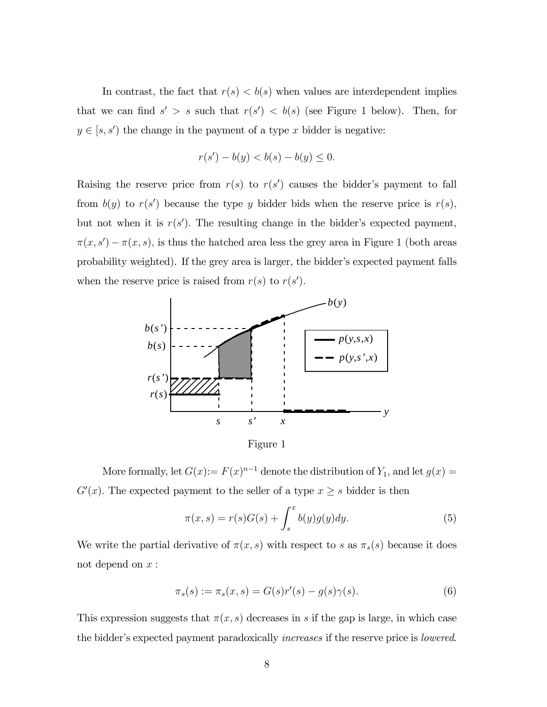In contrast, the fact that  $r(s) < b(s)$  when values are interdependent implies that we can find  $s' > s$  such that  $r(s') < b(s)$  (see Figure 1 below). Then, for  $y \in [s, s')$  the change in the payment of a type x bidder is negative:

$$
r(s') - b(y) < b(s) - b(y) \le 0.
$$

Raising the reserve price from  $r(s)$  to  $r(s')$  causes the bidder's payment to fall from  $b(y)$  to  $r(s')$  because the type y bidder bids when the reserve price is  $r(s)$ , but not when it is  $r(s')$ . The resulting change in the bidder's expected payment,  $\pi(x, s') - \pi(x, s)$ , is thus the hatched area less the grey area in Figure 1 (both areas probability weighted). If the grey area is larger, the bidder's expected payment falls when the reserve price is raised from  $r(s)$  to  $r(s')$ .



Figure 1

More formally, let  $G(x) := F(x)^{n-1}$  denote the distribution of  $Y_1$ , and let  $g(x) =$  $G'(x)$ . The expected payment to the seller of a type  $x \geq s$  bidder is then

<span id="page-9-0"></span>
$$
\pi(x,s) = r(s)G(s) + \int_s^x b(y)g(y)dy.
$$
\n(5)

We write the partial derivative of  $\pi(x, s)$  with respect to s as  $\pi_s(s)$  because it does not depend on  $x$ :

<span id="page-9-1"></span>
$$
\pi_s(s) := \pi_s(x, s) = G(s)r'(s) - g(s)\gamma(s).
$$
 (6)

This expression suggests that  $\pi(x, s)$  decreases in s if the gap is large, in which case the bidder's expected payment paradoxically *increases* if the reserve price is *lowered*.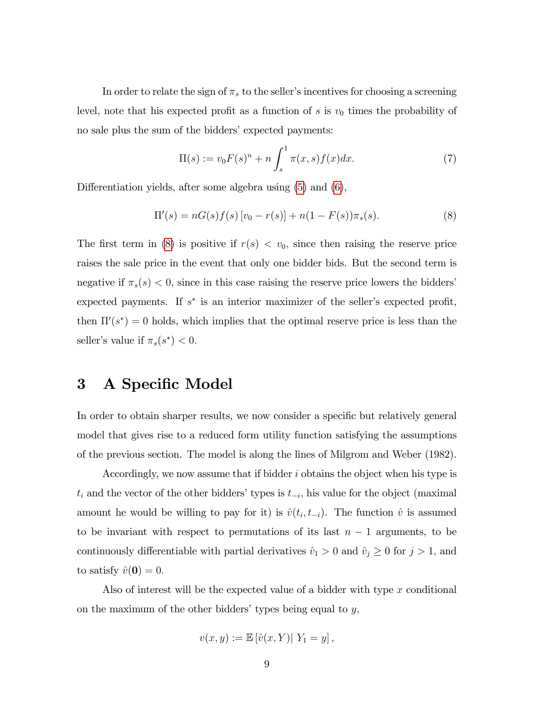In order to relate the sign of  $\pi_s$  to the seller's incentives for choosing a screening level, note that his expected profit as a function of s is  $v_0$  times the probability of no sale plus the sum of the bidders' expected payments:

$$
\Pi(s) := v_0 F(s)^n + n \int_s^1 \pi(x, s) f(x) dx.
$$
 (7)

Differentiation yields, after some algebra using  $(5)$  and  $(6)$ ,

<span id="page-10-0"></span>
$$
\Pi'(s) = nG(s)f(s)[v_0 - r(s)] + n(1 - F(s))\pi_s(s).
$$
\n(8)

The first term in [\(8\)](#page-10-0) is positive if  $r(s) < v_0$ , since then raising the reserve price raises the sale price in the event that only one bidder bids. But the second term is negative if  $\pi_s(s) < 0$ , since in this case raising the reserve price lowers the bidders expected payments. If  $s^*$  is an interior maximizer of the seller's expected profit, then  $\Pi'(s^*) = 0$  holds, which implies that the optimal reserve price is less than the seller's value if  $\pi_s(s^*) < 0$ .

## 3 A Specific Model

In order to obtain sharper results, we now consider a specific but relatively general model that gives rise to a reduced form utility function satisfying the assumptions of the previous section. The model is along the lines of Milgrom and Weber (1982).

Accordingly, we now assume that if bidder i obtains the object when his type is  $t_i$  and the vector of the other bidders' types is  $t_{-i}$ , his value for the object (maximal amount he would be willing to pay for it) is  $\hat{v}(t_i, t_{-i})$ . The function  $\hat{v}$  is assumed to be invariant with respect to permutations of its last  $n-1$  arguments, to be continuously differentiable with partial derivatives  $\hat{v}_1 > 0$  and  $\hat{v}_j \ge 0$  for  $j > 1$ , and to satisfy  $\hat{v}(\mathbf{0}) = 0.$ 

Also of interest will be the expected value of a bidder with type x conditional on the maximum of the other bidders' types being equal to  $y$ ,

$$
v(x,y) := \mathbb{E} [\hat{v}(x,Y)| Y_1 = y],
$$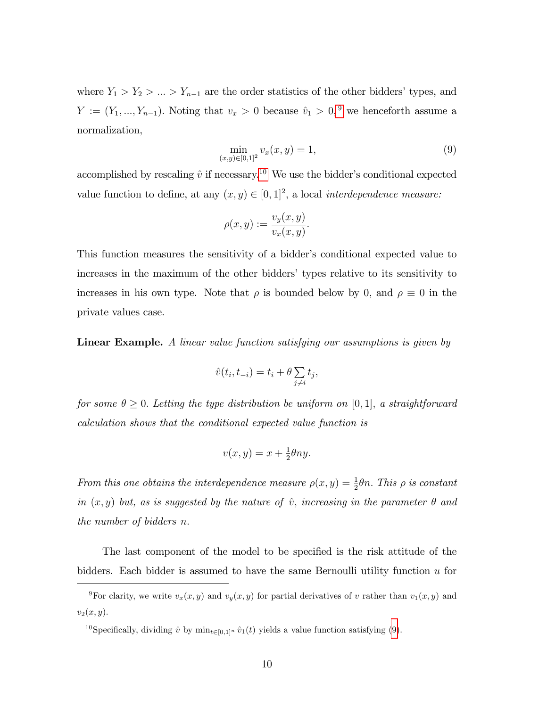where  $Y_1 > Y_2 > ... > Y_{n-1}$  are the order statistics of the other bidders' types, and  $Y := (Y_1, ..., Y_{n-1})$ . Noting that  $v_x > 0$  because  $\hat{v}_1 > 0$ , <sup>[9](#page-11-0)</sup> we henceforth assume a normalization,

<span id="page-11-2"></span>
$$
\min_{(x,y)\in[0,1]^2} v_x(x,y) = 1,\tag{9}
$$

accomplished by rescaling  $\hat{v}$  if necessary.<sup>[10](#page-11-1)</sup> We use the bidder's conditional expected value function to define, at any  $(x, y) \in [0, 1]^2$ , a local *interdependence measure:* 

$$
\rho(x,y) := \frac{v_y(x,y)}{v_x(x,y)}.
$$

This function measures the sensitivity of a bidder's conditional expected value to increases in the maximum of the other biddersí types relative to its sensitivity to increases in his own type. Note that  $\rho$  is bounded below by 0, and  $\rho \equiv 0$  in the private values case.

Linear Example. A linear value function satisfying our assumptions is given by

$$
\hat{v}(t_i, t_{-i}) = t_i + \theta \sum_{j \neq i} t_j,
$$

for some  $\theta \geq 0$ . Letting the type distribution be uniform on [0,1], a straightforward calculation shows that the conditional expected value function is

$$
v(x,y) = x + \frac{1}{2}\theta ny.
$$

From this one obtains the interdependence measure  $\rho(x, y) = \frac{1}{2}\theta n$ . This  $\rho$  is constant in  $(x, y)$  but, as is suggested by the nature of  $\hat{v}$ , increasing in the parameter  $\theta$  and the number of bidders n:

The last component of the model to be specified is the risk attitude of the bidders. Each bidder is assumed to have the same Bernoulli utility function u for

<span id="page-11-1"></span><sup>10</sup>Specifically, dividing  $\hat{v}$  by min<sub>t $\in [0,1]^n$ </sub>  $\hat{v}_1(t)$  yields a value function satisfying [\(9\)](#page-11-2).

<span id="page-11-0"></span><sup>&</sup>lt;sup>9</sup>For clarity, we write  $v_x(x, y)$  and  $v_y(x, y)$  for partial derivatives of v rather than  $v_1(x, y)$  and  $v_2(x, y)$ .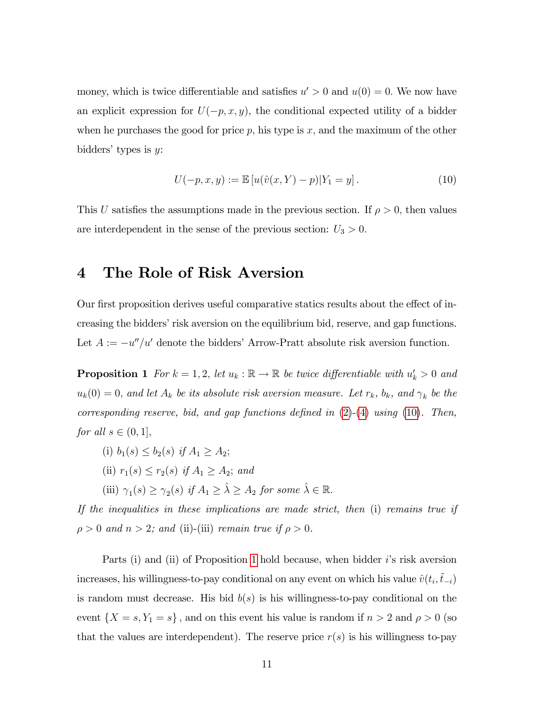money, which is twice differentiable and satisfies  $u' > 0$  and  $u(0) = 0$ . We now have an explicit expression for  $U(-p, x, y)$ , the conditional expected utility of a bidder when he purchases the good for price  $p$ , his type is  $x$ , and the maximum of the other bidders' types is  $y$ :

<span id="page-12-0"></span>
$$
U(-p, x, y) := \mathbb{E}\left[u(\hat{v}(x, Y) - p)|Y_1 = y\right].
$$
\n(10)

This U satisfies the assumptions made in the previous section. If  $\rho > 0$ , then values are interdependent in the sense of the previous section:  $U_3 > 0$ .

#### 4 The Role of Risk Aversion

Our first proposition derives useful comparative statics results about the effect of increasing the bidders' risk aversion on the equilibrium bid, reserve, and gap functions. Let  $A := -u''/u'$  denote the bidders' Arrow-Pratt absolute risk aversion function.

<span id="page-12-1"></span>**Proposition 1** For  $k = 1, 2$ , let  $u_k : \mathbb{R} \to \mathbb{R}$  be twice differentiable with  $u'_k > 0$  and  $u_k(0) = 0$ , and let  $A_k$  be its absolute risk aversion measure. Let  $r_k$ ,  $b_k$ , and  $\gamma_k$  be the corresponding reserve, bid, and gap functions defined in  $(2)-(4)$  $(2)-(4)$  $(2)-(4)$  using  $(10)$ . Then, for all  $s \in (0, 1]$ ,

(i)  $b_1(s) \leq b_2(s)$  if  $A_1 > A_2$ ; (ii)  $r_1(s) \le r_2(s)$  if  $A_1 \ge A_2$ ; and (iii)  $\gamma_1(s) \geq \gamma_2(s)$  if  $A_1 \geq \hat{\lambda} \geq A_2$  for some  $\hat{\lambda} \in \mathbb{R}$ .

If the inequalities in these implications are made strict, then (i) remains true if  $\rho > 0$  and  $n > 2$ ; and (ii)-(iii) remain true if  $\rho > 0$ .

Parts (i) and (ii) of Proposition [1](#page-12-1) hold because, when bidder  $i$ 's risk aversion increases, his willingness-to-pay conditional on any event on which his value  $\hat{v}(t_i, \tilde{t}_{-i})$ is random must decrease. His bid  $b(s)$  is his willingness-to-pay conditional on the event  $\{X = s, Y_1 = s\}$ , and on this event his value is random if  $n > 2$  and  $\rho > 0$  (so that the values are interdependent). The reserve price  $r(s)$  is his willingness to-pay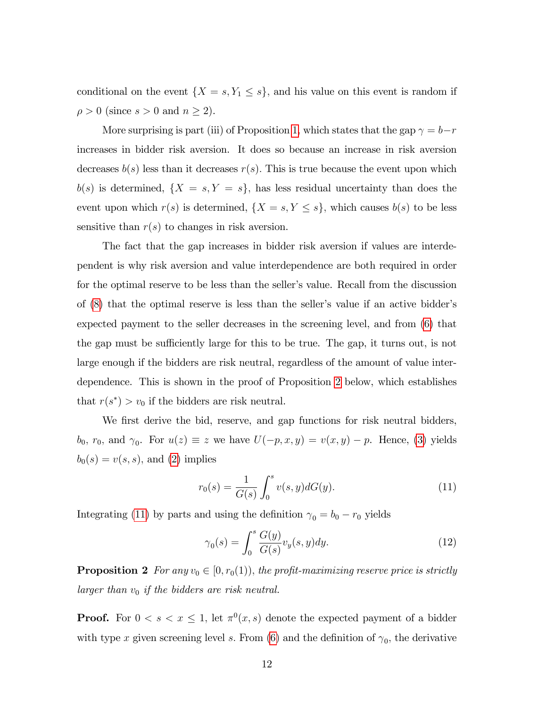conditional on the event  $\{X = s, Y_1 \leq s\}$ , and his value on this event is random if  $\rho > 0$  (since  $s > 0$  and  $n \geq 2$ ).

More surprising is part (iii) of Proposition [1,](#page-12-1) which states that the gap  $\gamma = b-r$ increases in bidder risk aversion. It does so because an increase in risk aversion decreases  $b(s)$  less than it decreases  $r(s)$ . This is true because the event upon which  $b(s)$  is determined,  $\{X = s, Y = s\}$ , has less residual uncertainty than does the event upon which  $r(s)$  is determined,  $\{X = s, Y \leq s\}$ , which causes  $b(s)$  to be less sensitive than  $r(s)$  to changes in risk aversion.

The fact that the gap increases in bidder risk aversion if values are interdependent is why risk aversion and value interdependence are both required in order for the optimal reserve to be less than the seller's value. Recall from the discussion of  $(8)$  that the optimal reserve is less than the seller's value if an active bidder's expected payment to the seller decreases in the screening level, and from [\(6\)](#page-9-1) that the gap must be sufficiently large for this to be true. The gap, it turns out, is not large enough if the bidders are risk neutral, regardless of the amount of value interdependence. This is shown in the proof of Proposition [2](#page-13-0) below, which establishes that  $r(s^*) > v_0$  if the bidders are risk neutral.

We first derive the bid, reserve, and gap functions for risk neutral bidders,  $b_0, r_0, \text{ and } \gamma_0. \text{ For } u(z) \equiv z \text{ we have } U(-p, x, y) = v(x, y) - p. \text{ Hence, (3) yields}$  $b_0, r_0, \text{ and } \gamma_0. \text{ For } u(z) \equiv z \text{ we have } U(-p, x, y) = v(x, y) - p. \text{ Hence, (3) yields}$  $b_0, r_0, \text{ and } \gamma_0. \text{ For } u(z) \equiv z \text{ we have } U(-p, x, y) = v(x, y) - p. \text{ Hence, (3) yields}$  $b_0(s) = v(s, s)$ , and [\(2\)](#page-7-0) implies

<span id="page-13-1"></span>
$$
r_0(s) = \frac{1}{G(s)} \int_0^s v(s, y) dG(y).
$$
 (11)

Integrating [\(11\)](#page-13-1) by parts and using the definition  $\gamma_0 = b_0 - r_0$  yields

<span id="page-13-2"></span>
$$
\gamma_0(s) = \int_0^s \frac{G(y)}{G(s)} v_y(s, y) dy.
$$
\n(12)

<span id="page-13-0"></span>**Proposition 2** For any  $v_0 \in [0, r_0(1))$ , the profit-maximizing reserve price is strictly larger than  $v_0$  if the bidders are risk neutral.

**Proof.** For  $0 < s < x \leq 1$ , let  $\pi^0(x, s)$  denote the expected payment of a bidder with type x given screening level s. From [\(6\)](#page-9-1) and the definition of  $\gamma_0$ , the derivative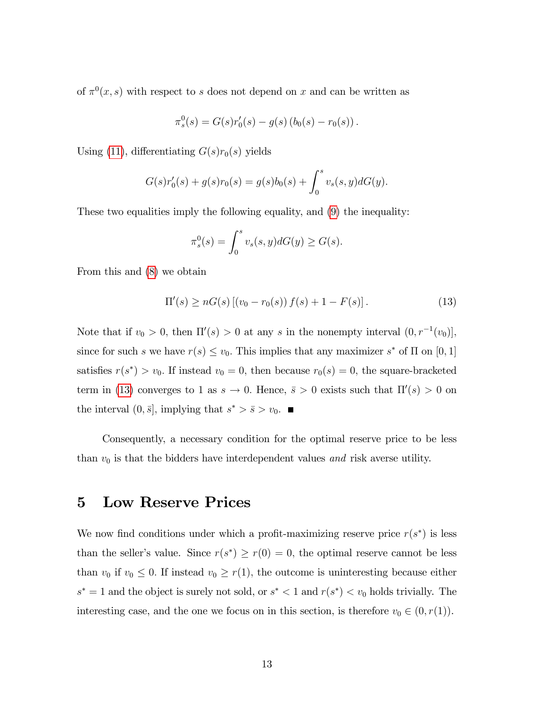of  $\pi^{0}(x, s)$  with respect to s does not depend on x and can be written as

$$
\pi_s^0(s) = G(s)r'_0(s) - g(s) (b_0(s) - r_0(s)).
$$

Using [\(11\)](#page-13-1), differentiating  $G(s)r_0(s)$  yields

$$
G(s)r'_0(s) + g(s)r_0(s) = g(s)b_0(s) + \int_0^s v_s(s, y)dG(y).
$$

These two equalities imply the following equality, and [\(9\)](#page-11-2) the inequality:

$$
\pi_s^0(s) = \int_0^s v_s(s, y) dG(y) \ge G(s).
$$

From this and [\(8\)](#page-10-0) we obtain

<span id="page-14-0"></span>
$$
\Pi'(s) \ge nG(s) \left[ (v_0 - r_0(s)) f(s) + 1 - F(s) \right]. \tag{13}
$$

Note that if  $v_0 > 0$ , then  $\Pi'(s) > 0$  at any s in the nonempty interval  $(0, r^{-1}(v_0))$ , since for such s we have  $r(s) \le v_0$ . This implies that any maximizer s<sup>\*</sup> of  $\Pi$  on [0, 1] satisfies  $r(s^*) > v_0$ . If instead  $v_0 = 0$ , then because  $r_0(s) = 0$ , the square-bracketed term in [\(13\)](#page-14-0) converges to 1 as  $s \to 0$ . Hence,  $\bar{s} > 0$  exists such that  $\Pi'(s) > 0$  on the interval  $(0, \bar{s}],$  implying that  $s^* > \bar{s} > v_0$ .

Consequently, a necessary condition for the optimal reserve price to be less than  $v_0$  is that the bidders have interdependent values and risk averse utility.

## 5 Low Reserve Prices

We now find conditions under which a profit-maximizing reserve price  $r(s^*)$  is less than the seller's value. Since  $r(s^*) \ge r(0) = 0$ , the optimal reserve cannot be less than  $v_0$  if  $v_0 \leq 0$ . If instead  $v_0 \geq r(1)$ , the outcome is uninteresting because either  $s^* = 1$  and the object is surely not sold, or  $s^* < 1$  and  $r(s^*) < v_0$  holds trivially. The interesting case, and the one we focus on in this section, is therefore  $v_0 \in (0, r(1))$ .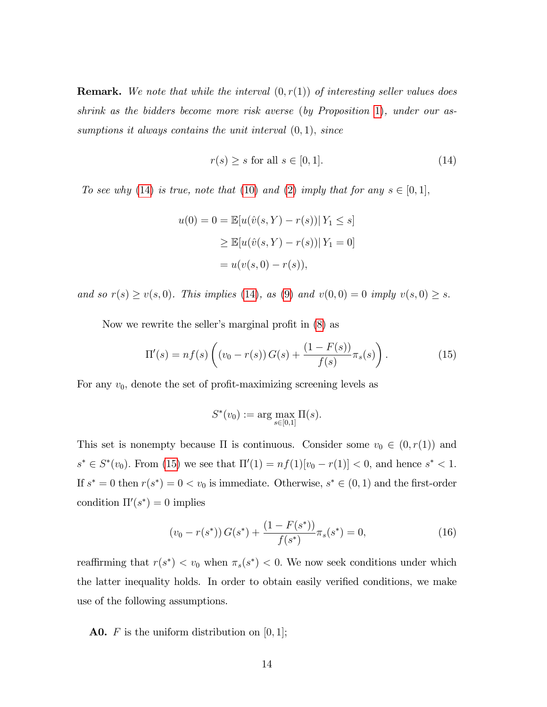**Remark.** We note that while the interval  $(0, r(1))$  of interesting seller values does shrink as the bidders become more risk averse (by Proposition [1\)](#page-12-1), under our assumptions it always contains the unit interval  $(0, 1)$ , since

<span id="page-15-0"></span>
$$
r(s) \ge s \text{ for all } s \in [0, 1]. \tag{14}
$$

To see why [\(14\)](#page-15-0) is true, note that [\(10\)](#page-12-0) and [\(2\)](#page-7-0) imply that for any  $s \in [0,1],$ 

$$
u(0) = 0 = \mathbb{E}[u(\hat{v}(s, Y) - r(s)) | Y_1 \le s]
$$
  
\n
$$
\ge \mathbb{E}[u(\hat{v}(s, Y) - r(s)) | Y_1 = 0]
$$
  
\n
$$
= u(v(s, 0) - r(s)),
$$

and so  $r(s) \ge v(s, 0)$ . This implies [\(14\)](#page-15-0), as [\(9\)](#page-11-2) and  $v(0, 0) = 0$  imply  $v(s, 0) \ge s$ .

Now we rewrite the seller's marginal profit in  $(8)$  as

<span id="page-15-1"></span>
$$
\Pi'(s) = nf(s)\left((v_0 - r(s))\,G(s) + \frac{(1 - F(s))}{f(s)}\pi_s(s)\right). \tag{15}
$$

For any  $v_0$ , denote the set of profit-maximizing screening levels as

$$
S^*(v_0) := \arg \max_{s \in [0,1]} \Pi(s).
$$

This set is nonempty because  $\Pi$  is continuous. Consider some  $v_0 \in (0, r(1))$  and  $s^* \in S^*(v_0)$ . From [\(15\)](#page-15-1) we see that  $\Pi'(1) = nf(1)[v_0 - r(1)] < 0$ , and hence  $s^* < 1$ . If  $s^* = 0$  then  $r(s^*) = 0 < v_0$  is immediate. Otherwise,  $s^* \in (0, 1)$  and the first-order condition  $\Pi(s^*) = 0$  implies

<span id="page-15-2"></span>
$$
(v_0 - r(s^*)) G(s^*) + \frac{(1 - F(s^*))}{f(s^*)} \pi_s(s^*) = 0,
$$
\n(16)

reaffirming that  $r(s^*) < v_0$  when  $\pi_s(s^*) < 0$ . We now seek conditions under which the latter inequality holds. In order to obtain easily verified conditions, we make use of the following assumptions.

**A0.** F is the uniform distribution on  $[0, 1]$ ;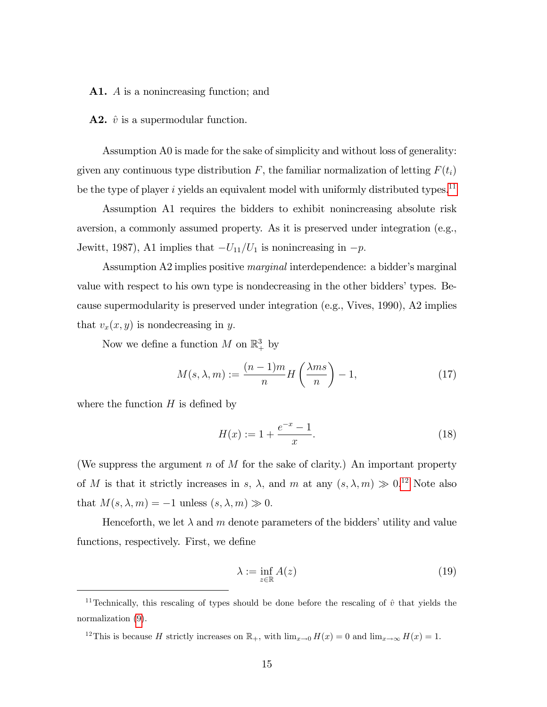A1. A is a nonincreasing function; and

**A2.**  $\hat{v}$  is a supermodular function.

Assumption A0 is made for the sake of simplicity and without loss of generality: given any continuous type distribution F, the familiar normalization of letting  $F(t_i)$ be the type of player i yields an equivalent model with uniformly distributed types.<sup>[11](#page-16-0)</sup>

Assumption A1 requires the bidders to exhibit nonincreasing absolute risk aversion, a commonly assumed property. As it is preserved under integration (e.g., Jewitt, 1987), A1 implies that  $-U_{11}/U_1$  is nonincreasing in  $-p$ .

Assumption A2 implies positive *marginal* interdependence: a bidder's marginal value with respect to his own type is nondecreasing in the other bidders' types. Because supermodularity is preserved under integration (e.g., Vives, 1990), A2 implies that  $v_x(x, y)$  is nondecreasing in y.

Now we define a function  $M$  on  $\mathbb{R}^3_+$  by

<span id="page-16-3"></span>
$$
M(s,\lambda,m) := \frac{(n-1)m}{n} H\left(\frac{\lambda ms}{n}\right) - 1,\tag{17}
$$

where the function  $H$  is defined by

<span id="page-16-4"></span>
$$
H(x) := 1 + \frac{e^{-x} - 1}{x}.
$$
\n(18)

(We suppress the argument  $n$  of  $M$  for the sake of clarity.) An important property of M is that it strictly increases in s,  $\lambda$ , and m at any  $(s, \lambda, m) \gg 0.12$  $(s, \lambda, m) \gg 0.12$  Note also that  $M(s, \lambda, m) = -1$  unless  $(s, \lambda, m) \gg 0$ .

Henceforth, we let  $\lambda$  and m denote parameters of the bidders' utility and value functions, respectively. First, we define

<span id="page-16-2"></span>
$$
\lambda := \inf_{z \in \mathbb{R}} A(z) \tag{19}
$$

<span id="page-16-1"></span><sup>12</sup>This is because H strictly increases on  $\mathbb{R}_+$ , with  $\lim_{x\to 0} H(x) = 0$  and  $\lim_{x\to \infty} H(x) = 1$ .

<span id="page-16-0"></span><sup>&</sup>lt;sup>11</sup>Technically, this rescaling of types should be done before the rescaling of  $\hat{v}$  that yields the normalization [\(9\)](#page-11-2).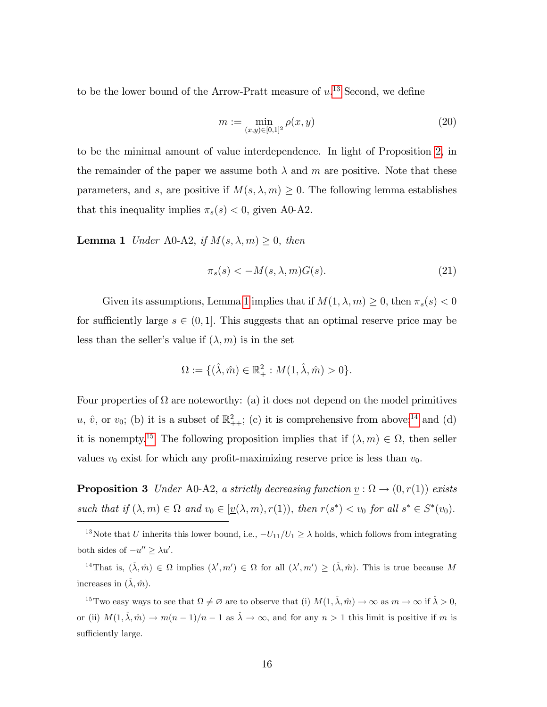to be the lower bound of the Arrow-Pratt measure of  $u$ <sup>[13](#page-17-0)</sup> Second, we define

<span id="page-17-4"></span>
$$
m := \min_{(x,y)\in[0,1]^2} \rho(x,y) \tag{20}
$$

to be the minimal amount of value interdependence. In light of Proposition [2,](#page-13-0) in the remainder of the paper we assume both  $\lambda$  and m are positive. Note that these parameters, and s, are positive if  $M(s, \lambda, m) \geq 0$ . The following lemma establishes that this inequality implies  $\pi_s(s) < 0$ , given A0-A2.

<span id="page-17-1"></span>**Lemma 1** Under A0-A2, if  $M(s, \lambda, m) \geq 0$ , then

<span id="page-17-6"></span>
$$
\pi_s(s) < -M(s, \lambda, m)G(s). \tag{21}
$$

Given its assumptions, Lemma [1](#page-17-1) implies that if  $M(1, \lambda, m) \geq 0$ , then  $\pi_s(s) < 0$ for sufficiently large  $s \in (0, 1]$ . This suggests that an optimal reserve price may be less than the seller's value if  $(\lambda, m)$  is in the set

$$
\Omega := \{ (\hat{\lambda}, \hat{m}) \in \mathbb{R}^2_+ : M(1, \hat{\lambda}, \hat{m}) > 0 \}.
$$

Four properties of  $\Omega$  are noteworthy: (a) it does not depend on the model primitives  $u, \hat{v}$ , or  $v_0$ ; (b) it is a subset of  $\mathbb{R}^2_{++}$ ; (c) it is comprehensive from above;<sup>[14](#page-17-2)</sup> and (d) it is nonempty.<sup>[15](#page-17-3)</sup> The following proposition implies that if  $(\lambda, m) \in \Omega$ , then seller values  $v_0$  exist for which any profit-maximizing reserve price is less than  $v_0$ .

<span id="page-17-5"></span>**Proposition 3** Under A0-A2, a strictly decreasing function  $\underline{v} : \Omega \to (0, r(1))$  exists such that if  $(\lambda, m) \in \Omega$  and  $v_0 \in [\underline{v}(\lambda, m), r(1))$ , then  $r(s^*) < v_0$  for all  $s^* \in S^*(v_0)$ .

<span id="page-17-0"></span><sup>13</sup>Note that U inherits this lower bound, i.e.,  $-U_{11}/U_1 \ge \lambda$  holds, which follows from integrating both sides of  $-u'' \geq \lambda u'$ .

<span id="page-17-2"></span><sup>14</sup>That is,  $(\hat{\lambda}, \hat{m}) \in \Omega$  implies  $({\lambda}', m') \in \Omega$  for all  $({\lambda}', m') \geq (\hat{\lambda}, \hat{m})$ . This is true because M increases in  $(\hat{\lambda}, \hat{m})$ .

<span id="page-17-3"></span><sup>15</sup>Two easy ways to see that  $\Omega \neq \emptyset$  are to observe that (i)  $M(1, \hat{\lambda}, \hat{m}) \to \infty$  as  $m \to \infty$  if  $\hat{\lambda} > 0$ , or (ii)  $M(1, \hat{\lambda}, \hat{m}) \to m(n - 1)/n - 1$  as  $\hat{\lambda} \to \infty$ , and for any  $n > 1$  this limit is positive if m is sufficiently large.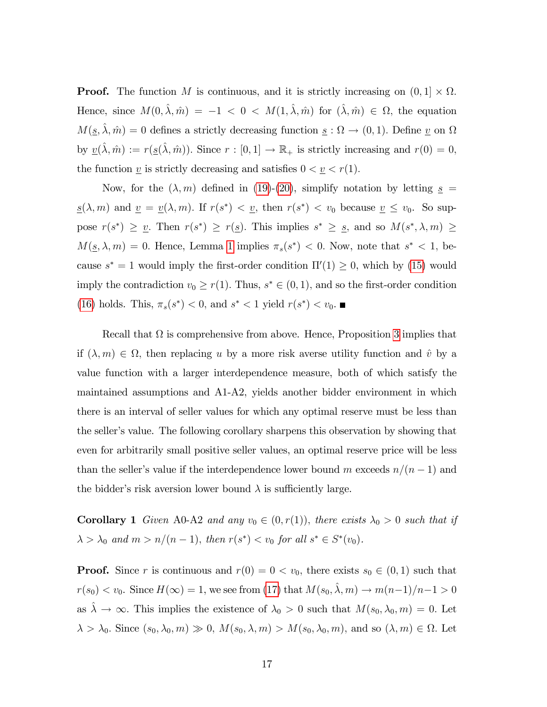**Proof.** The function M is continuous, and it is strictly increasing on  $(0, 1] \times \Omega$ . Hence, since  $M(0, \hat{\lambda}, \hat{m}) = -1 < 0 < M(1, \hat{\lambda}, \hat{m})$  for  $(\hat{\lambda}, \hat{m}) \in \Omega$ , the equation  $M(\underline{s}, \hat{\lambda}, \hat{m}) = 0$  defines a strictly decreasing function  $\underline{s} : \Omega \to (0, 1)$ . Define  $\underline{v}$  on  $\Omega$ by  $\underline{v}(\hat{\lambda}, \hat{m}) := r(\underline{s}(\hat{\lambda}, \hat{m}))$ . Since  $r : [0, 1] \to \mathbb{R}_+$  is strictly increasing and  $r(0) = 0$ , the function  $\underline{v}$  is strictly decreasing and satisfies  $0 < \underline{v} < r(1)$ .

Now, for the  $(\lambda, m)$  defined in [\(19\)](#page-16-2)-[\(20\)](#page-17-4), simplify notation by letting  $s =$  $\underline{s}(\lambda, m)$  and  $\underline{v} = \underline{v}(\lambda, m)$ . If  $r(s^*) < \underline{v}$ , then  $r(s^*) < v_0$  because  $\underline{v} \le v_0$ . So suppose  $r(s^*) \geq v$ . Then  $r(s^*) \geq r(s)$ . This implies  $s^* \geq s$ , and so  $M(s^*, \lambda, m) \geq$  $M(\underline{s}, \lambda, m) = 0$ . Hence, Lemma [1](#page-17-1) implies  $\pi_s(s^*) < 0$ . Now, note that  $s^* < 1$ , because  $s^* = 1$  would imply the first-order condition  $\Pi'(1) \geq 0$ , which by [\(15\)](#page-15-1) would imply the contradiction  $v_0 \ge r(1)$ . Thus,  $s^* \in (0, 1)$ , and so the first-order condition [\(16\)](#page-15-2) holds. This,  $\pi_s(s^*) < 0$ , and  $s^* < 1$  yield  $r(s^*) < v_0$ .

Recall that  $\Omega$  is comprehensive from above. Hence, Proposition [3](#page-17-5) implies that if  $(\lambda, m) \in \Omega$ , then replacing u by a more risk averse utility function and  $\hat{v}$  by a value function with a larger interdependence measure, both of which satisfy the maintained assumptions and A1-A2, yields another bidder environment in which there is an interval of seller values for which any optimal reserve must be less than the seller's value. The following corollary sharpens this observation by showing that even for arbitrarily small positive seller values, an optimal reserve price will be less than the seller's value if the interdependence lower bound m exceeds  $n/(n - 1)$  and the bidder's risk aversion lower bound  $\lambda$  is sufficiently large.

<span id="page-18-0"></span>**Corollary 1** Given A0-A2 and any  $v_0 \in (0, r(1))$ , there exists  $\lambda_0 > 0$  such that if  $\lambda > \lambda_0$  and  $m > n/(n - 1)$ , then  $r(s^*) < v_0$  for all  $s^* \in S^*(v_0)$ .

**Proof.** Since r is continuous and  $r(0) = 0 < v_0$ , there exists  $s_0 \in (0, 1)$  such that  $r(s_0) < v_0$ . Since  $H(\infty) = 1$ , we see from [\(17\)](#page-16-3) that  $M(s_0, \hat{\lambda}, m) \to m(n-1)/n-1 > 0$ as  $\hat{\lambda} \to \infty$ . This implies the existence of  $\lambda_0 > 0$  such that  $M(s_0, \lambda_0, m) = 0$ . Let  $\lambda > \lambda_0$ . Since  $(s_0, \lambda_0, m) \gg 0$ ,  $M(s_0, \lambda, m) > M(s_0, \lambda_0, m)$ , and so  $(\lambda, m) \in \Omega$ . Let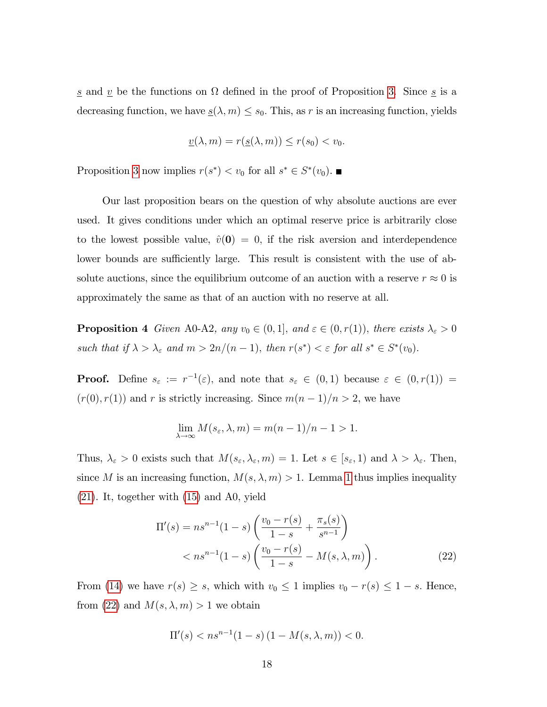<u>s</u> and <u>v</u> be the functions on  $\Omega$  defined in the proof of Proposition [3.](#page-17-5) Since <u>s</u> is a decreasing function, we have  $\underline{s}(\lambda, m) \leq s_0$ . This, as r is an increasing function, yields

$$
\underline{v}(\lambda, m) = r(\underline{s}(\lambda, m)) \le r(s_0) < v_0.
$$

Proposition [3](#page-17-5) now implies  $r(s^*) < v_0$  for all  $s^* \in S^*(v_0)$ .

Our last proposition bears on the question of why absolute auctions are ever used. It gives conditions under which an optimal reserve price is arbitrarily close to the lowest possible value,  $\hat{v}(0) = 0$ , if the risk aversion and interdependence lower bounds are sufficiently large. This result is consistent with the use of absolute auctions, since the equilibrium outcome of an auction with a reserve  $r \approx 0$  is approximately the same as that of an auction with no reserve at all.

<span id="page-19-1"></span>**Proposition 4** Given A0-A2, any  $v_0 \in (0, 1]$ , and  $\varepsilon \in (0, r(1))$ , there exists  $\lambda_{\varepsilon} > 0$ such that if  $\lambda > \lambda_{\varepsilon}$  and  $m > 2n/(n-1)$ , then  $r(s^*) < \varepsilon$  for all  $s^* \in S^*(v_0)$ .

**Proof.** Define  $s_{\varepsilon} := r^{-1}(\varepsilon)$ , and note that  $s_{\varepsilon} \in (0,1)$  because  $\varepsilon \in (0,r(1)) =$  $(r(0), r(1))$  and r is strictly increasing. Since  $m(n-1)/n > 2$ , we have

$$
\lim_{\lambda \to \infty} M(s_{\varepsilon}, \lambda, m) = m(n-1)/n - 1 > 1.
$$

Thus,  $\lambda_{\varepsilon} > 0$  exists such that  $M(s_{\varepsilon}, \lambda_{\varepsilon}, m) = 1$ . Let  $s \in [s_{\varepsilon}, 1)$  and  $\lambda > \lambda_{\varepsilon}$ . Then, since M is an increasing function,  $M(s, \lambda, m) > 1$  $M(s, \lambda, m) > 1$ . Lemma 1 thus implies inequality [\(21\)](#page-17-6). It, together with [\(15\)](#page-15-1) and A0, yield

<span id="page-19-0"></span>
$$
\Pi'(s) = n s^{n-1} (1-s) \left( \frac{v_0 - r(s)}{1-s} + \frac{\pi_s(s)}{s^{n-1}} \right)
$$
  
< 
$$
< n s^{n-1} (1-s) \left( \frac{v_0 - r(s)}{1-s} - M(s, \lambda, m) \right).
$$
 (22)

From [\(14\)](#page-15-0) we have  $r(s) \geq s$ , which with  $v_0 \leq 1$  implies  $v_0 - r(s) \leq 1 - s$ . Hence, from [\(22\)](#page-19-0) and  $M(s, \lambda, m) > 1$  we obtain

$$
\Pi'(s) < ns^{n-1}(1-s)(1 - M(s, \lambda, m)) < 0.
$$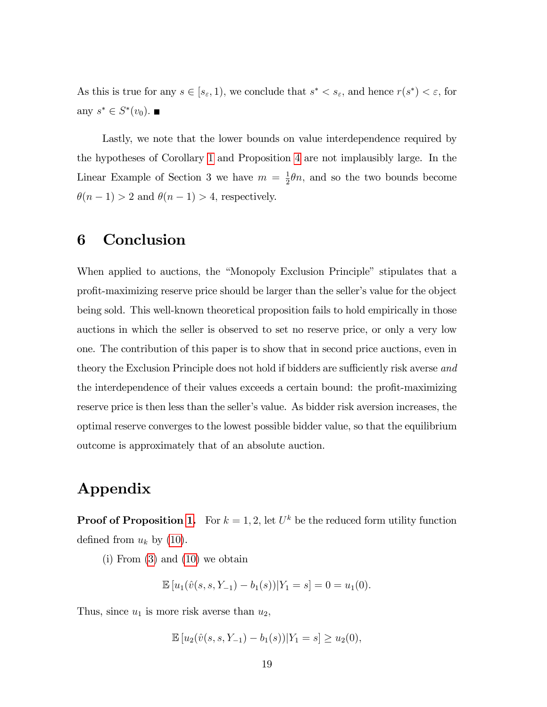As this is true for any  $s \in [s_{\varepsilon}, 1)$ , we conclude that  $s^* < s_{\varepsilon}$ , and hence  $r(s^*) < \varepsilon$ , for any  $s^* \in S^*(v_0)$ .

Lastly, we note that the lower bounds on value interdependence required by the hypotheses of Corollary [1](#page-18-0) and Proposition [4](#page-19-1) are not implausibly large. In the Linear Example of Section 3 we have  $m = \frac{1}{2}$  $\frac{1}{2}\theta n$ , and so the two bounds become  $\theta(n-1) > 2$  and  $\theta(n-1) > 4$ , respectively.

### 6 Conclusion

When applied to auctions, the "Monopoly Exclusion Principle" stipulates that a profit-maximizing reserve price should be larger than the seller's value for the object being sold. This well-known theoretical proposition fails to hold empirically in those auctions in which the seller is observed to set no reserve price, or only a very low one. The contribution of this paper is to show that in second price auctions, even in theory the Exclusion Principle does not hold if bidders are sufficiently risk averse and the interdependence of their values exceeds a certain bound: the profit-maximizing reserve price is then less than the seller's value. As bidder risk aversion increases, the optimal reserve converges to the lowest possible bidder value, so that the equilibrium outcome is approximately that of an absolute auction.

## Appendix

**Proof of Proposition [1.](#page-12-1)** For  $k = 1, 2$ , let  $U^k$  be the reduced form utility function defined from  $u_k$  by [\(10\)](#page-12-0).

 $(i)$  From  $(3)$  and  $(10)$  we obtain

$$
\mathbb{E}[u_1(\hat{v}(s,s,Y_{-1}) - b_1(s))|Y_1 = s] = 0 = u_1(0).
$$

Thus, since  $u_1$  is more risk averse than  $u_2$ ,

$$
\mathbb{E}\left[u_2(\hat{v}(s,s,Y_{-1})-b_1(s))|Y_1=s\right]\geq u_2(0),
$$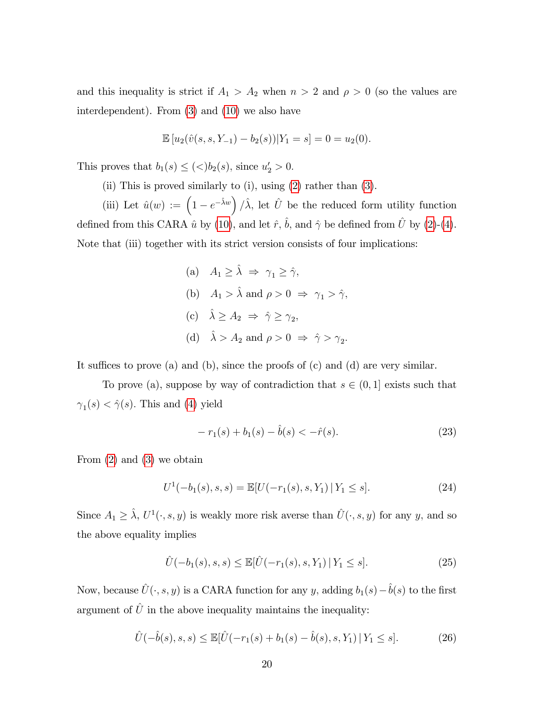and this inequality is strict if  $A_1 > A_2$  when  $n > 2$  and  $\rho > 0$  (so the values are interdependent). From [\(3\)](#page-7-1) and [\(10\)](#page-12-0) we also have

$$
\mathbb{E}[u_2(\hat{v}(s,s,Y_{-1}) - b_2(s))|Y_1 = s] = 0 = u_2(0).
$$

This proves that  $b_1(s) \leq (\langle >b_2(s), \text{ since } u'_2 > 0.$ 

(ii) This is proved similarly to (i), using [\(2\)](#page-7-0) rather than [\(3\)](#page-7-1).

(iii) Let  $\hat{u}(w) := \left(1 - e^{-\hat{\lambda}w}\right) / \hat{\lambda}$ , let  $\hat{U}$  be the reduced form utility function defined from this CARA  $\hat{u}$  by [\(10\)](#page-12-0), and let  $\hat{r}$ ,  $\hat{b}$ , and  $\hat{\gamma}$  be defined from  $\hat{U}$  by [\(2\)](#page-7-0)-[\(4\)](#page-8-0). Note that (iii) together with its strict version consists of four implications:

> (a)  $A_1 > \hat{\lambda} \Rightarrow \gamma_1 > \hat{\gamma}$ , (b)  $A_1 > \hat{\lambda}$  and  $\rho > 0 \Rightarrow \gamma_1 > \hat{\gamma}$ , (c)  $\hat{\lambda} \ge A_2 \Rightarrow \hat{\gamma} \ge \gamma_2$ , (d)  $\hat{\lambda} > A_2$  and  $\rho > 0 \Rightarrow \hat{\gamma} > \gamma_2$ .

It suffices to prove (a) and (b), since the proofs of (c) and (d) are very similar.

To prove (a), suppose by way of contradiction that  $s \in (0, 1]$  exists such that  $\gamma_1(s) < \hat{\gamma}(s)$ . This and [\(4\)](#page-8-0) yield

<span id="page-21-0"></span>
$$
-r_1(s) + b_1(s) - \hat{b}(s) < -\hat{r}(s). \tag{23}
$$

From [\(2\)](#page-7-0) and [\(3\)](#page-7-1) we obtain

<span id="page-21-1"></span>
$$
U^1(-b_1(s), s, s) = \mathbb{E}[U(-r_1(s), s, Y_1) | Y_1 \le s]. \tag{24}
$$

Since  $A_1 \geq \hat{\lambda}$ ,  $U^1(\cdot, s, y)$  is weakly more risk averse than  $\hat{U}(\cdot, s, y)$  for any y, and so the above equality implies

$$
\hat{U}(-b_1(s), s, s) \le \mathbb{E}[\hat{U}(-r_1(s), s, Y_1) | Y_1 \le s]. \tag{25}
$$

Now, because  $\hat{U}(\cdot, s, y)$  is a CARA function for any y, adding  $b_1(s)-\hat{b}(s)$  to the first argument of  $\hat{U}$  in the above inequality maintains the inequality:

<span id="page-21-2"></span>
$$
\hat{U}(-\hat{b}(s), s, s) \le \mathbb{E}[\hat{U}(-r_1(s) + b_1(s) - \hat{b}(s), s, Y_1) | Y_1 \le s].
$$
\n(26)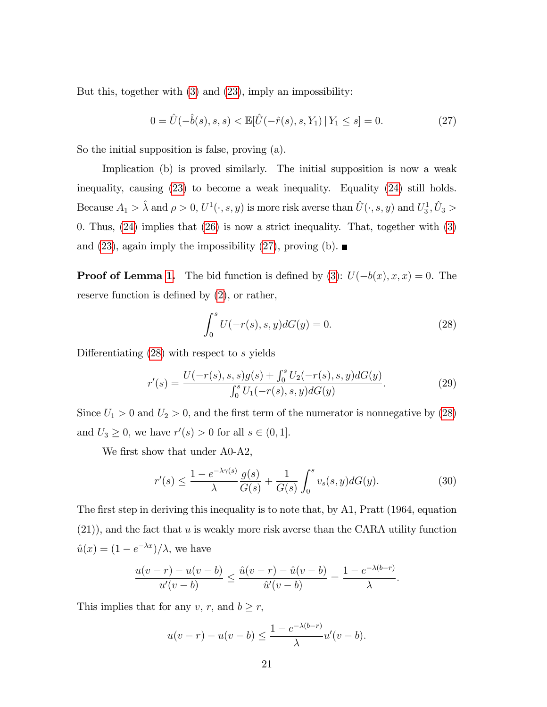But this, together with [\(3\)](#page-7-1) and [\(23\)](#page-21-0), imply an impossibility:

<span id="page-22-0"></span>
$$
0 = \hat{U}(-\hat{b}(s), s, s) < \mathbb{E}[\hat{U}(-\hat{r}(s), s, Y_1) \, | \, Y_1 \le s] = 0. \tag{27}
$$

So the initial supposition is false, proving (a).

Implication (b) is proved similarly. The initial supposition is now a weak inequality, causing [\(23\)](#page-21-0) to become a weak inequality. Equality [\(24\)](#page-21-1) still holds. Because  $A_1 > \hat{\lambda}$  and  $\rho > 0$ ,  $U^1(\cdot, s, y)$  is more risk averse than  $\hat{U}(\cdot, s, y)$  and  $U_3^1, \hat{U}_3 >$ 0: Thus, [\(24\)](#page-21-1) implies that [\(26\)](#page-21-2) is now a strict inequality. That, together with [\(3\)](#page-7-1) and [\(23\)](#page-21-0), again imply the impossibility [\(27\)](#page-22-0), proving (b).

**Proof of Lemma [1.](#page-17-1)** The bid function is defined by [\(3\)](#page-7-1):  $U(-b(x), x, x) = 0$ . The reserve function is defined by  $(2)$ , or rather,

<span id="page-22-1"></span>
$$
\int_{0}^{s} U(-r(s), s, y)dG(y) = 0.
$$
 (28)

Differentiating  $(28)$  with respect to s yields

<span id="page-22-2"></span>
$$
r'(s) = \frac{U(-r(s), s, s)g(s) + \int_0^s U_2(-r(s), s, y)dG(y)}{\int_0^s U_1(-r(s), s, y)dG(y)}.
$$
\n(29)

Since  $U_1 > 0$  and  $U_2 > 0$ , and the first term of the numerator is nonnegative by [\(28\)](#page-22-1) and  $U_3 \geq 0$ , we have  $r'(s) > 0$  for all  $s \in (0, 1]$ .

We first show that under A0-A2,

<span id="page-22-3"></span>
$$
r'(s) \le \frac{1 - e^{-\lambda \gamma(s)}}{\lambda} \frac{g(s)}{G(s)} + \frac{1}{G(s)} \int_0^s v_s(s, y) dG(y).
$$
 (30)

The first step in deriving this inequality is to note that, by A1, Pratt (1964, equation (21)), and the fact that u is weakly more risk averse than the CARA utility function  $\hat{u}(x) = (1 - e^{-\lambda x})/\lambda$ , we have

$$
\frac{u(v-r) - u(v-b)}{u'(v-b)} \le \frac{\hat{u}(v-r) - \hat{u}(v-b)}{\hat{u}'(v-b)} = \frac{1 - e^{-\lambda(b-r)}}{\lambda}.
$$

This implies that for any  $v, r$ , and  $b \geq r$ ,

$$
u(v-r) - u(v-b) \le \frac{1 - e^{-\lambda(b-r)}}{\lambda}u'(v-b).
$$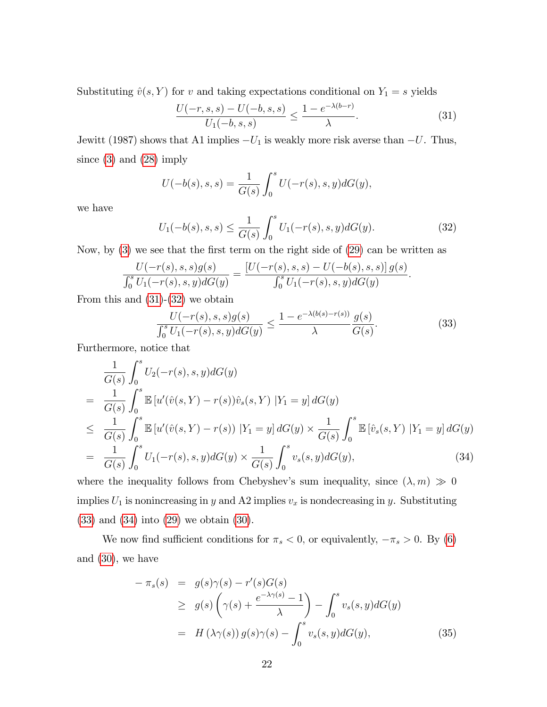Substituting  $\hat{v}(s, Y)$  for v and taking expectations conditional on  $Y_1 = s$  yields

<span id="page-23-0"></span>
$$
\frac{U(-r,s,s) - U(-b,s,s)}{U_1(-b,s,s)} \le \frac{1 - e^{-\lambda(b-r)}}{\lambda}.
$$
 (31)

Jewitt (1987) shows that A1 implies  $-U_1$  is weakly more risk averse than  $-U$ . Thus, since [\(3\)](#page-7-1) and [\(28\)](#page-22-1) imply

$$
U(-b(s), s, s) = \frac{1}{G(s)} \int_0^s U(-r(s), s, y) dG(y),
$$

we have

<span id="page-23-1"></span>
$$
U_1(-b(s), s, s) \le \frac{1}{G(s)} \int_0^s U_1(-r(s), s, y) dG(y).
$$
 (32)

Now, by  $(3)$  we see that the first term on the right side of  $(29)$  can be written as

$$
\frac{U(-r(s), s, s)g(s)}{\int_0^s U_1(-r(s), s, y)dG(y)} = \frac{[U(-r(s), s, s) - U(-b(s), s, s)]g(s)}{\int_0^s U_1(-r(s), s, y)dG(y)}.
$$

From this and [\(31\)](#page-23-0)-[\(32\)](#page-23-1) we obtain

<span id="page-23-2"></span>
$$
\frac{U(-r(s), s, s)g(s)}{\int_0^s U_1(-r(s), s, y)dG(y)} \le \frac{1 - e^{-\lambda(b(s) - r(s))}}{\lambda} \frac{g(s)}{G(s)}.
$$
\n(33)

Furthermore, notice that

<span id="page-23-3"></span>
$$
\frac{1}{G(s)} \int_0^s U_2(-r(s), s, y) dG(y)
$$
\n
$$
= \frac{1}{G(s)} \int_0^s \mathbb{E} \left[ u'(\hat{v}(s, Y) - r(s))\hat{v}_s(s, Y) \mid Y_1 = y \right] dG(y)
$$
\n
$$
\leq \frac{1}{G(s)} \int_0^s \mathbb{E} \left[ u'(\hat{v}(s, Y) - r(s)) \mid Y_1 = y \right] dG(y) \times \frac{1}{G(s)} \int_0^s \mathbb{E} \left[ \hat{v}_s(s, Y) \mid Y_1 = y \right] dG(y)
$$
\n
$$
= \frac{1}{G(s)} \int_0^s U_1(-r(s), s, y) dG(y) \times \frac{1}{G(s)} \int_0^s v_s(s, y) dG(y), \tag{34}
$$
\nwhere the inequality follows from Chebyshev's sum inequality, since (1, m)  $\gg 0$ .

where the inequality follows from Chebyshev's sum inequality, since  $(\lambda, m) \gg 0$ implies  $U_1$  is nonincreasing in y and A2 implies  $v_x$  is nondecreasing in y. Substituting [\(33\)](#page-23-2) and [\(34\)](#page-23-3) into [\(29\)](#page-22-2) we obtain [\(30\)](#page-22-3).

We now find sufficient conditions for  $\pi_s < 0$ , or equivalently,  $-\pi_s > 0$ . By [\(6\)](#page-9-1) and  $(30)$ , we have

<span id="page-23-4"></span>
$$
-\pi_s(s) = g(s)\gamma(s) - r'(s)G(s)
$$
  
\n
$$
\geq g(s)\left(\gamma(s) + \frac{e^{-\lambda\gamma(s)} - 1}{\lambda}\right) - \int_0^s v_s(s, y)dG(y)
$$
  
\n
$$
= H(\lambda\gamma(s))g(s)\gamma(s) - \int_0^s v_s(s, y)dG(y),
$$
\n(35)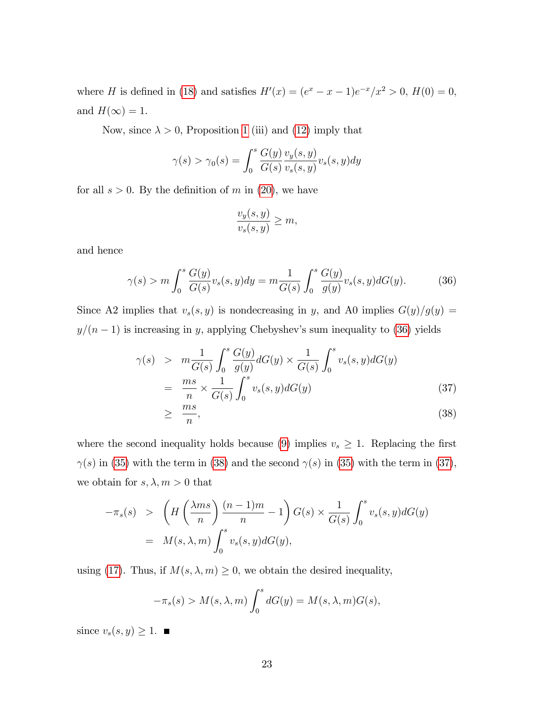where *H* is defined in [\(18\)](#page-16-4) and satisfies  $H'(x) = (e^x - x - 1)e^{-x}/x^2 > 0$ ,  $H(0) = 0$ , and  $H(\infty) = 1$ .

Now, since  $\lambda > 0$ , Proposition [1](#page-12-1) (iii) and [\(12\)](#page-13-2) imply that

$$
\gamma(s) > \gamma_0(s) = \int_0^s \frac{G(y)}{G(s)} \frac{v_y(s, y)}{v_s(s, y)} v_s(s, y) dy
$$

for all  $s > 0$ . By the definition of m in [\(20\)](#page-17-4), we have

$$
\frac{v_y(s,y)}{v_s(s,y)} \ge m,
$$

and hence

<span id="page-24-0"></span>
$$
\gamma(s) > m \int_0^s \frac{G(y)}{G(s)} v_s(s, y) dy = m \frac{1}{G(s)} \int_0^s \frac{G(y)}{g(y)} v_s(s, y) dG(y).
$$
 (36)

Since A2 implies that  $v_s(s, y)$  is nondecreasing in y, and A0 implies  $G(y)/g(y) =$  $y/(n - 1)$  is increasing in y, applying Chebyshev's sum inequality to [\(36\)](#page-24-0) yields

<span id="page-24-1"></span>
$$
\gamma(s) > m \frac{1}{G(s)} \int_0^s \frac{G(y)}{g(y)} dG(y) \times \frac{1}{G(s)} \int_0^s v_s(s, y) dG(y)
$$
  
= 
$$
\frac{ms}{n} \times \frac{1}{G(s)} \int_0^s v_s(s, y) dG(y)
$$
(37)  

$$
\geq \frac{ms}{ms}
$$

$$
\geq \frac{ms}{n},\tag{38}
$$

where the second inequality holds because [\(9\)](#page-11-2) implies  $v_s \geq 1$ . Replacing the first  $\gamma(s)$  in [\(35\)](#page-23-4) with the term in [\(38\)](#page-24-1) and the second  $\gamma(s)$  in (35) with the term in [\(37\)](#page-24-1), we obtain for  $s, \lambda, m > 0$  that

$$
-\pi_s(s) > \left( H\left(\frac{\lambda ms}{n}\right) \frac{(n-1)m}{n} - 1 \right) G(s) \times \frac{1}{G(s)} \int_0^s v_s(s, y) dG(y)
$$
  
=  $M(s, \lambda, m) \int_0^s v_s(s, y) dG(y),$ 

using [\(17\)](#page-16-3). Thus, if  $M(s, \lambda, m) \geq 0$ , we obtain the desired inequality,

$$
-\pi_s(s) > M(s, \lambda, m) \int_0^s dG(y) = M(s, \lambda, m)G(s),
$$

since  $v_s(s, y) \geq 1$ .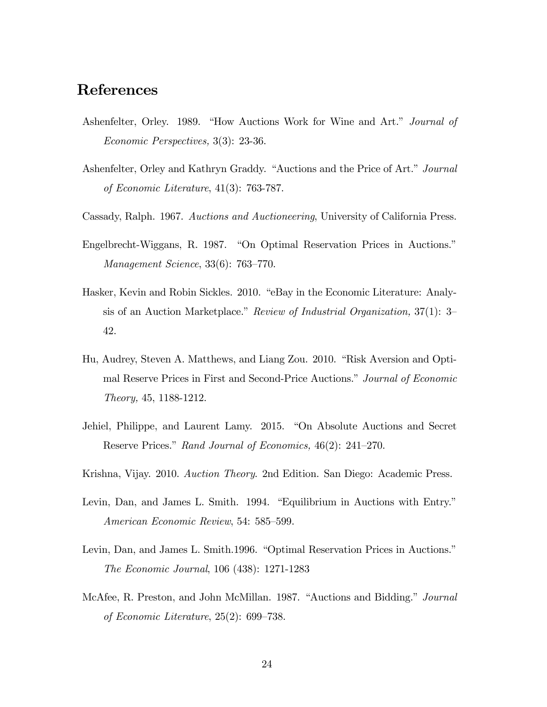## References

- Ashenfelter, Orley. 1989. "How Auctions Work for Wine and Art." Journal of Economic Perspectives, 3(3): 23-36.
- Ashenfelter, Orley and Kathryn Graddy. "Auctions and the Price of Art." Journal of Economic Literature, 41(3): 763-787.
- Cassady, Ralph. 1967. Auctions and Auctioneering, University of California Press.
- Engelbrecht-Wiggans, R. 1987. "On Optimal Reservation Prices in Auctions." Management Science,  $33(6)$ : 763–770.
- Hasker, Kevin and Robin Sickles. 2010. "eBay in the Economic Literature: Analysis of an Auction Marketplace." Review of Industrial Organization,  $37(1)$ : 3– 42.
- Hu, Audrey, Steven A. Matthews, and Liang Zou. 2010. "Risk Aversion and Optimal Reserve Prices in First and Second-Price Auctions." Journal of Economic Theory, 45, 1188-1212.
- Jehiel, Philippe, and Laurent Lamy. 2015. "On Absolute Auctions and Secret Reserve Prices." Rand Journal of Economics,  $46(2)$ : 241–270.
- Krishna, Vijay. 2010. Auction Theory. 2nd Edition. San Diego: Academic Press.
- Levin, Dan, and James L. Smith. 1994. "Equilibrium in Auctions with Entry." American Economic Review, 54: 585–599.
- Levin, Dan, and James L. Smith.1996. "Optimal Reservation Prices in Auctions." The Economic Journal, 106 (438): 1271-1283
- McAfee, R. Preston, and John McMillan. 1987. "Auctions and Bidding." *Journal* of Economic Literature,  $25(2)$ : 699–738.